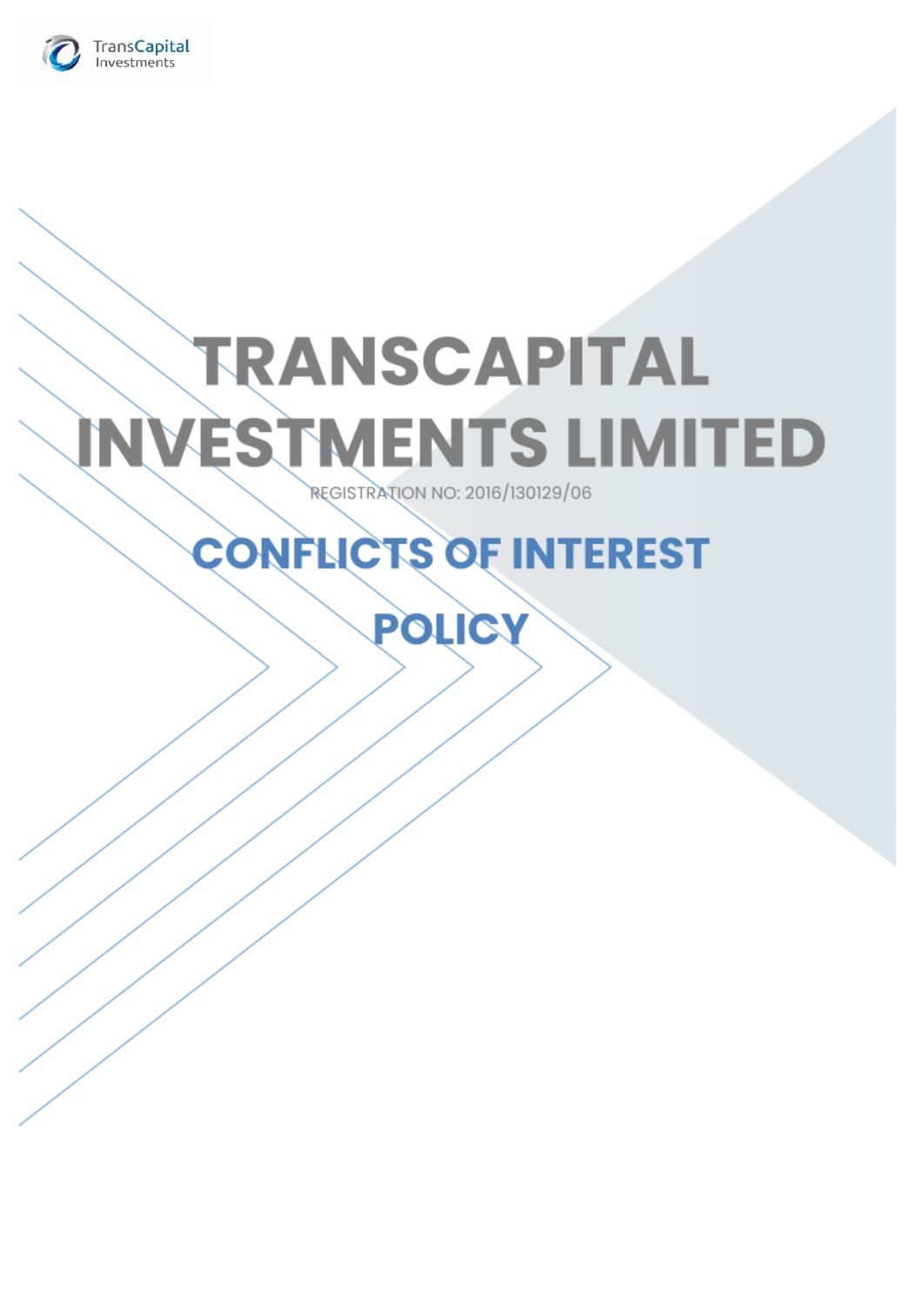

# **TRANSCAPITAL INVESTMENTS LIMITED REGISTRATION NO: 2016/130129/06**

## **CONFLICTS OF INTEREST**

**POLICY**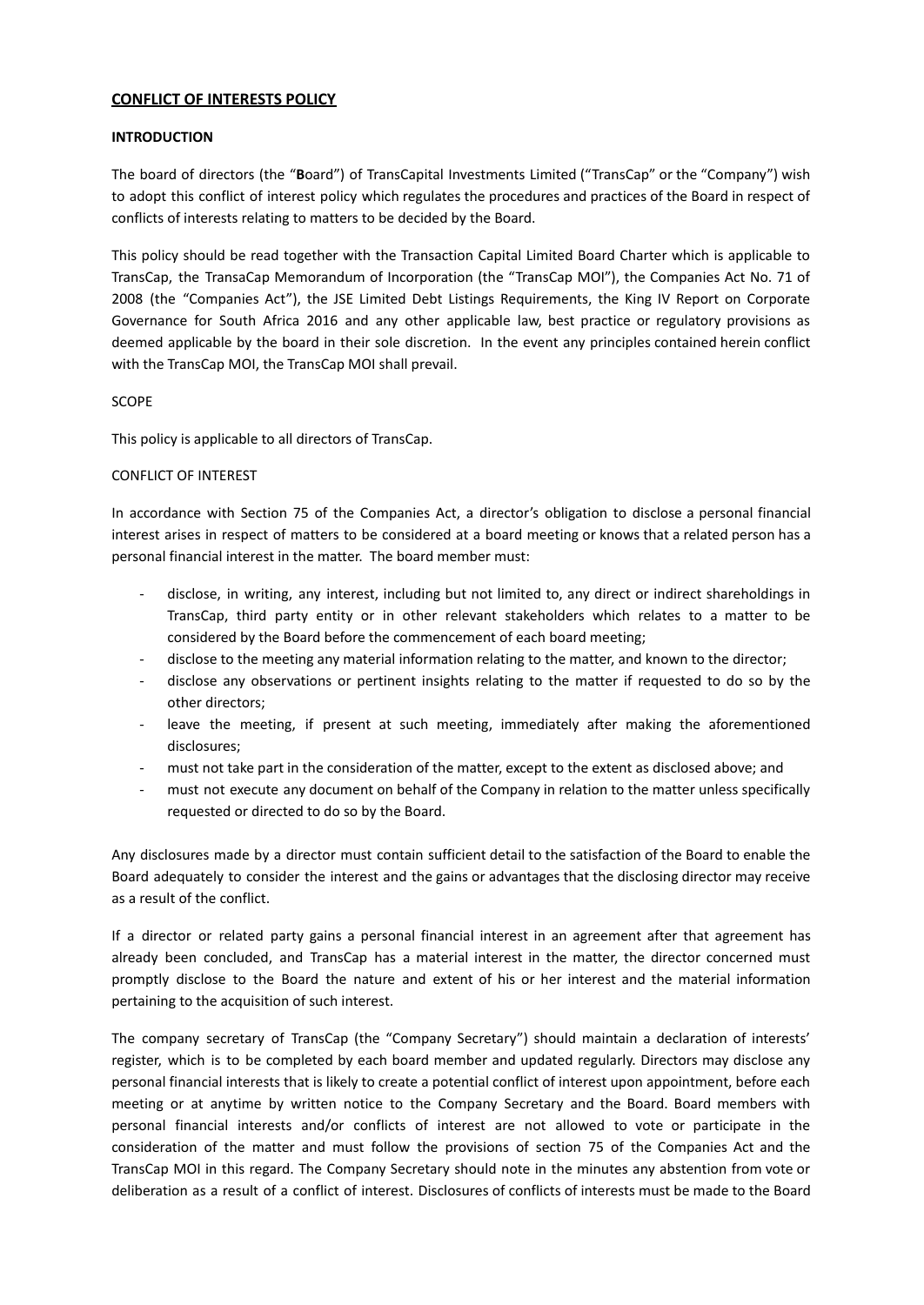### **CONFLICT OF INTERESTS POLICY**

#### **INTRODUCTION**

The board of directors (the "**B**oard") of TransCapital Investments Limited ("TransCap" or the "Company") wish to adopt this conflict of interest policy which regulates the procedures and practices of the Board in respect of conflicts of interests relating to matters to be decided by the Board.

This policy should be read together with the Transaction Capital Limited Board Charter which is applicable to TransCap, the TransaCap Memorandum of Incorporation (the "TransCap MOI"), the Companies Act No. 71 of 2008 (the "Companies Act"), the JSE Limited Debt Listings Requirements, the King IV Report on Corporate Governance for South Africa 2016 and any other applicable law, best practice or regulatory provisions as deemed applicable by the board in their sole discretion. In the event any principles contained herein conflict with the TransCap MOI, the TransCap MOI shall prevail.

#### SCOPE

This policy is applicable to all directors of TransCap.

#### CONFLICT OF INTEREST

In accordance with Section 75 of the Companies Act, a director's obligation to disclose a personal financial interest arises in respect of matters to be considered at a board meeting or knows that a related person has a personal financial interest in the matter. The board member must:

- disclose, in writing, any interest, including but not limited to, any direct or indirect shareholdings in TransCap, third party entity or in other relevant stakeholders which relates to a matter to be considered by the Board before the commencement of each board meeting;
- disclose to the meeting any material information relating to the matter, and known to the director;
- disclose any observations or pertinent insights relating to the matter if requested to do so by the other directors;
- leave the meeting, if present at such meeting, immediately after making the aforementioned disclosures;
- must not take part in the consideration of the matter, except to the extent as disclosed above; and
- must not execute any document on behalf of the Company in relation to the matter unless specifically requested or directed to do so by the Board.

Any disclosures made by a director must contain sufficient detail to the satisfaction of the Board to enable the Board adequately to consider the interest and the gains or advantages that the disclosing director may receive as a result of the conflict.

If a director or related party gains a personal financial interest in an agreement after that agreement has already been concluded, and TransCap has a material interest in the matter, the director concerned must promptly disclose to the Board the nature and extent of his or her interest and the material information pertaining to the acquisition of such interest.

The company secretary of TransCap (the "Company Secretary") should maintain a declaration of interests' register, which is to be completed by each board member and updated regularly. Directors may disclose any personal financial interests that is likely to create a potential conflict of interest upon appointment, before each meeting or at anytime by written notice to the Company Secretary and the Board. Board members with personal financial interests and/or conflicts of interest are not allowed to vote or participate in the consideration of the matter and must follow the provisions of section 75 of the Companies Act and the TransCap MOI in this regard. The Company Secretary should note in the minutes any abstention from vote or deliberation as a result of a conflict of interest. Disclosures of conflicts of interests must be made to the Board